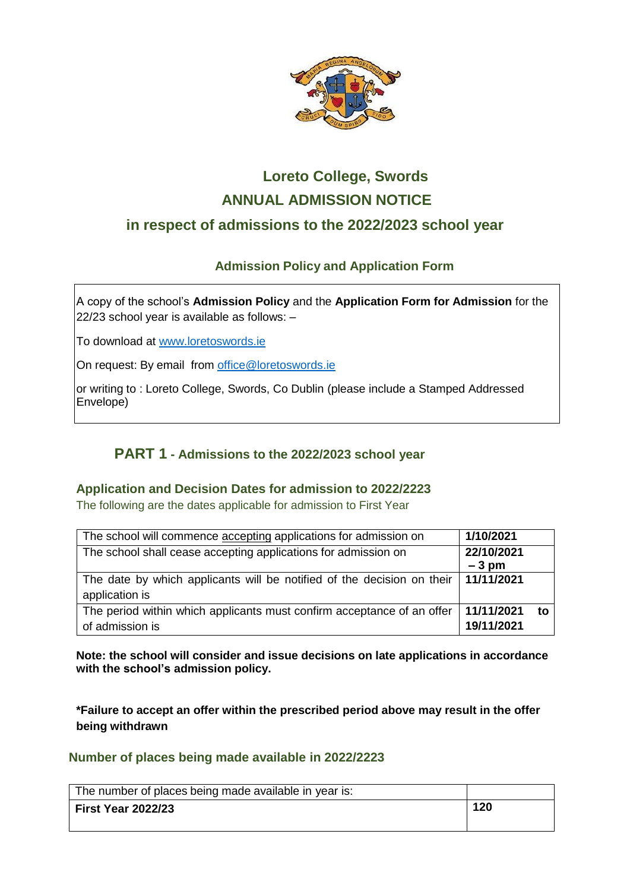

# **Loreto College, Swords ANNUAL ADMISSION NOTICE in respect of admissions to the 2022/2023 school year**

## **Admission Policy and Application Form**

A copy of the school's **Admission Policy** and the **Application Form for Admission** for the 22/23 school year is available as follows: –

To download at www.loretoswords.ie

On request: By email from office@loretoswords.ie

or writing to : Loreto College, Swords, Co Dublin (please include a Stamped Addressed Envelope)

## **PART 1 - Admissions to the 2022/2023 school year**

### **Application and Decision Dates for admission to 2022/2223**

The following are the dates applicable for admission to First Year

| The school will commence accepting applications for admission on       | 1/10/2021  |    |
|------------------------------------------------------------------------|------------|----|
| The school shall cease accepting applications for admission on         | 22/10/2021 |    |
|                                                                        | $-3$ pm    |    |
| The date by which applicants will be notified of the decision on their | 11/11/2021 |    |
| application is                                                         |            |    |
| The period within which applicants must confirm acceptance of an offer | 11/11/2021 | to |
| of admission is                                                        | 19/11/2021 |    |

**Note: the school will consider and issue decisions on late applications in accordance with the school's admission policy.**

**\*Failure to accept an offer within the prescribed period above may result in the offer being withdrawn**

#### **Number of places being made available in 2022/2223**

| The number of places being made available in year is: |     |
|-------------------------------------------------------|-----|
| <b>First Year 2022/23</b>                             | 120 |